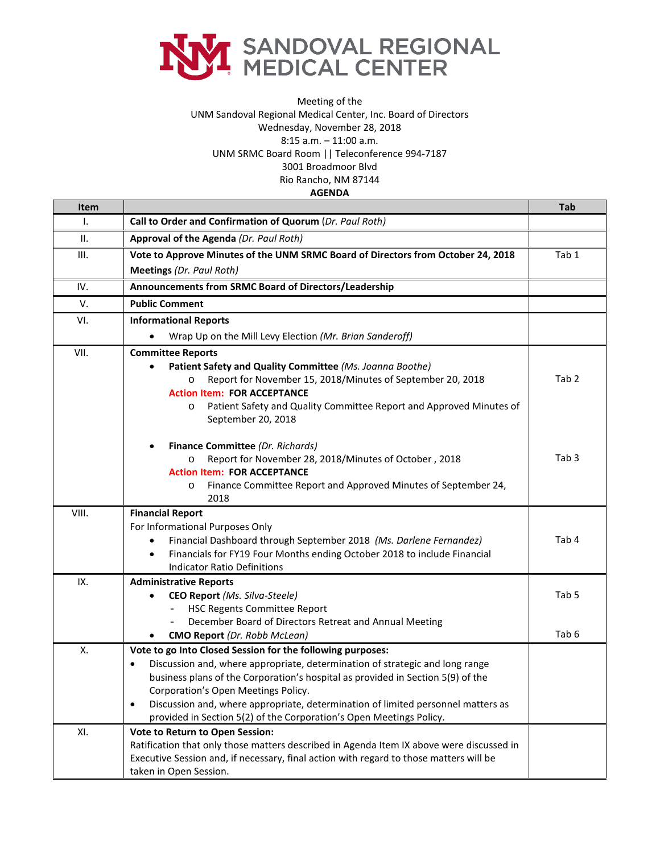

## Meeting of the UNM Sandoval Regional Medical Center, Inc. Board of Directors Wednesday, November 28, 2018 8:15 a.m. – 11:00 a.m. UNM SRMC Board Room || Teleconference 994-7187 3001 Broadmoor Blvd Rio Rancho, NM 87144

**AGENDA**

| Item  |                                                                                                                                                                                                                                                                                                                                                                                                                                              | <b>Tab</b>       |
|-------|----------------------------------------------------------------------------------------------------------------------------------------------------------------------------------------------------------------------------------------------------------------------------------------------------------------------------------------------------------------------------------------------------------------------------------------------|------------------|
| Ι.    | Call to Order and Confirmation of Quorum (Dr. Paul Roth)                                                                                                                                                                                                                                                                                                                                                                                     |                  |
| ΙΙ.   | Approval of the Agenda (Dr. Paul Roth)                                                                                                                                                                                                                                                                                                                                                                                                       |                  |
| III.  | Vote to Approve Minutes of the UNM SRMC Board of Directors from October 24, 2018                                                                                                                                                                                                                                                                                                                                                             | Tab 1            |
|       | <b>Meetings (Dr. Paul Roth)</b>                                                                                                                                                                                                                                                                                                                                                                                                              |                  |
| IV.   | Announcements from SRMC Board of Directors/Leadership                                                                                                                                                                                                                                                                                                                                                                                        |                  |
| V.    | <b>Public Comment</b>                                                                                                                                                                                                                                                                                                                                                                                                                        |                  |
| VI.   | <b>Informational Reports</b>                                                                                                                                                                                                                                                                                                                                                                                                                 |                  |
|       | Wrap Up on the Mill Levy Election (Mr. Brian Sanderoff)                                                                                                                                                                                                                                                                                                                                                                                      |                  |
| VII.  | <b>Committee Reports</b><br>Patient Safety and Quality Committee (Ms. Joanna Boothe)<br>Report for November 15, 2018/Minutes of September 20, 2018<br><b>Action Item: FOR ACCEPTANCE</b>                                                                                                                                                                                                                                                     | Tab <sub>2</sub> |
|       | Patient Safety and Quality Committee Report and Approved Minutes of<br>$\circ$<br>September 20, 2018                                                                                                                                                                                                                                                                                                                                         |                  |
|       | Finance Committee (Dr. Richards)<br>Report for November 28, 2018/Minutes of October, 2018<br>$\circ$<br><b>Action Item: FOR ACCEPTANCE</b><br>Finance Committee Report and Approved Minutes of September 24,<br>O<br>2018                                                                                                                                                                                                                    | Tab <sub>3</sub> |
| VIII. | <b>Financial Report</b><br>For Informational Purposes Only<br>Financial Dashboard through September 2018 (Ms. Darlene Fernandez)<br>$\bullet$<br>Financials for FY19 Four Months ending October 2018 to include Financial<br>$\bullet$<br><b>Indicator Ratio Definitions</b>                                                                                                                                                                 | Tab 4            |
| IX.   | <b>Administrative Reports</b><br>CEO Report (Ms. Silva-Steele)<br>٠<br><b>HSC Regents Committee Report</b><br>December Board of Directors Retreat and Annual Meeting                                                                                                                                                                                                                                                                         | Tab 5            |
|       | <b>CMO Report</b> (Dr. Robb McLean)                                                                                                                                                                                                                                                                                                                                                                                                          | Tab <sub>6</sub> |
| Χ.    | Vote to go Into Closed Session for the following purposes:<br>Discussion and, where appropriate, determination of strategic and long range<br>business plans of the Corporation's hospital as provided in Section 5(9) of the<br>Corporation's Open Meetings Policy.<br>Discussion and, where appropriate, determination of limited personnel matters as<br>$\bullet$<br>provided in Section 5(2) of the Corporation's Open Meetings Policy. |                  |
| XI.   | Vote to Return to Open Session:<br>Ratification that only those matters described in Agenda Item IX above were discussed in<br>Executive Session and, if necessary, final action with regard to those matters will be<br>taken in Open Session.                                                                                                                                                                                              |                  |